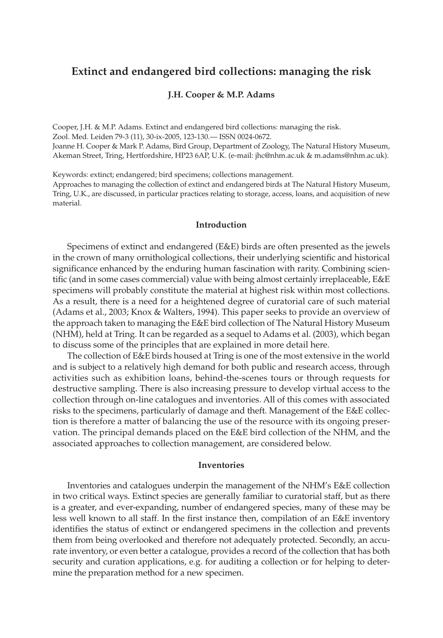# **Extinct and endangered bird collections: managing the risk**

# **J.H. Cooper & M.P. Adams**

Cooper, J.H. & M.P. Adams. Extinct and endangered bird collections: managing the risk. Zool. Med. Leiden 79-3 (11), 30-ix-2005, 123-130.— ISSN 0024-0672. Joanne H. Cooper & Mark P. Adams, Bird Group, Department of Zoology, The Natural History Museum,

Akeman Street, Tring, Hertfordshire, HP23 6AP, U.K. (e-mail: jhc@nhm.ac.uk & m.adams@nhm.ac.uk).

Keywords: extinct; endangered; bird specimens; collections management.

Approaches to managing the collection of extinct and endangered birds at The Natural History Museum, Tring, U.K., are discussed, in particular practices relating to storage, access, loans, and acquisition of new material.

## **Introduction**

Specimens of extinct and endangered (E&E) birds are often presented as the jewels in the crown of many ornithological collections, their underlying scientific and historical significance enhanced by the enduring human fascination with rarity. Combining scientific (and in some cases commercial) value with being almost certainly irreplaceable, E&E specimens will probably constitute the material at highest risk within most collections. As a result, there is a need for a heightened degree of curatorial care of such material (Adams et al., 2003; Knox & Walters, 1994). This paper seeks to provide an overview of the approach taken to managing the E&E bird collection of The Natural History Museum (NHM), held at Tring. It can be regarded as a sequel to Adams et al. (2003), which began to discuss some of the principles that are explained in more detail here.

The collection of E&E birds housed at Tring is one of the most extensive in the world and is subject to a relatively high demand for both public and research access, through activities such as exhibition loans, behind-the-scenes tours or through requests for destructive sampling. There is also increasing pressure to develop virtual access to the collection through on-line catalogues and inventories. All of this comes with associated risks to the specimens, particularly of damage and theft. Management of the E&E collection is therefore a matter of balancing the use of the resource with its ongoing preservation. The principal demands placed on the E&E bird collection of the NHM, and the associated approaches to collection management, are considered below.

#### **Inventories**

Inventories and catalogues underpin the management of the NHM's E&E collection in two critical ways. Extinct species are generally familiar to curatorial staff, but as there is a greater, and ever-expanding, number of endangered species, many of these may be less well known to all staff. In the first instance then, compilation of an E&E inventory identifies the status of extinct or endangered specimens in the collection and prevents them from being overlooked and therefore not adequately protected. Secondly, an accurate inventory, or even better a catalogue, provides a record of the collection that has both security and curation applications, e.g. for auditing a collection or for helping to determine the preparation method for a new specimen.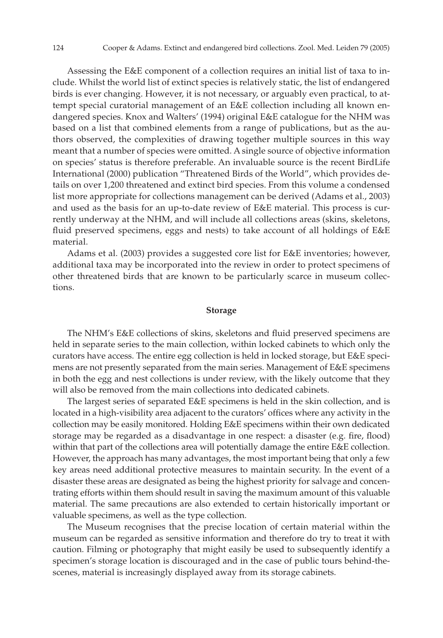Assessing the E&E component of a collection requires an initial list of taxa to include. Whilst the world list of extinct species is relatively static, the list of endangered birds is ever changing. However, it is not necessary, or arguably even practical, to attempt special curatorial management of an E&E collection including all known endangered species. Knox and Walters' (1994) original E&E catalogue for the NHM was based on a list that combined elements from a range of publications, but as the authors observed, the complexities of drawing together multiple sources in this way meant that a number of species were omitted. A single source of objective information on species' status is therefore preferable. An invaluable source is the recent BirdLife International (2000) publication "Threatened Birds of the World", which provides details on over 1,200 threatened and extinct bird species. From this volume a condensed list more appropriate for collections management can be derived (Adams et al., 2003) and used as the basis for an up-to-date review of E&E material. This process is currently underway at the NHM, and will include all collections areas (skins, skeletons, fluid preserved specimens, eggs and nests) to take account of all holdings of  $E &E E$ material.

Adams et al. (2003) provides a suggested core list for E&E inventories; however, additional taxa may be incorporated into the review in order to protect specimens of other threatened birds that are known to be particularly scarce in museum collections.

# **Storage**

The NHM's E&E collections of skins, skeletons and fluid preserved specimens are held in separate series to the main collection, within locked cabinets to which only the curators have access. The entire egg collection is held in locked storage, but E&E specimens are not presently separated from the main series. Management of E&E specimens in both the egg and nest collections is under review, with the likely outcome that they will also be removed from the main collections into dedicated cabinets.

The largest series of separated E&E specimens is held in the skin collection, and is located in a high-visibility area adjacent to the curators' offices where any activity in the collection may be easily monitored. Holding E&E specimens within their own dedicated storage may be regarded as a disadvantage in one respect: a disaster (e.g. fire, flood) within that part of the collections area will potentially damage the entire E&E collection. However, the approach has many advantages, the most important being that only a few key areas need additional protective measures to maintain security. In the event of a disaster these areas are designated as being the highest priority for salvage and concentrating efforts within them should result in saving the maximum amount of this valuable material. The same precautions are also extended to certain historically important or valuable specimens, as well as the type collection.

The Museum recognises that the precise location of certain material within the museum can be regarded as sensitive information and therefore do try to treat it with caution. Filming or photography that might easily be used to subsequently identify a specimen's storage location is discouraged and in the case of public tours behind-thescenes, material is increasingly displayed away from its storage cabinets.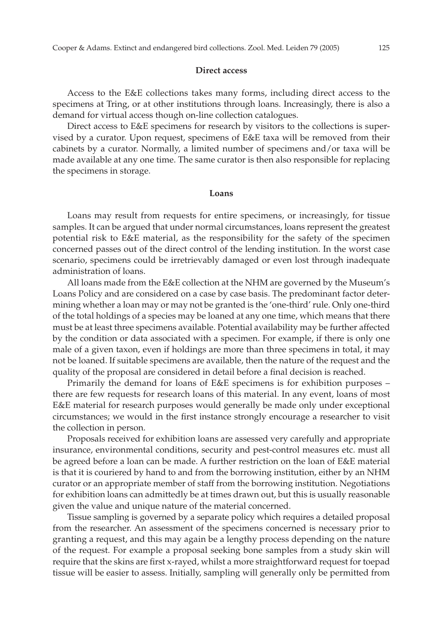#### **Direct access**

Access to the E&E collections takes many forms, including direct access to the specimens at Tring, or at other institutions through loans. Increasingly, there is also a demand for virtual access though on-line collection catalogues.

Direct access to E&E specimens for research by visitors to the collections is supervised by a curator. Upon request, specimens of E&E taxa will be removed from their cabinets by a curator. Normally, a limited number of specimens and/or taxa will be made available at any one time. The same curator is then also responsible for replacing the specimens in storage.

#### **Loans**

Loans may result from requests for entire specimens, or increasingly, for tissue samples. It can be argued that under normal circumstances, loans represent the greatest potential risk to E&E material, as the responsibility for the safety of the specimen concerned passes out of the direct control of the lending institution. In the worst case scenario, specimens could be irretrievably damaged or even lost through inadequate administration of loans.

All loans made from the E&E collection at the NHM are governed by the Museum's Loans Policy and are considered on a case by case basis. The predominant factor determining whether a loan may or may not be granted is the 'one-third' rule. Only one-third of the total holdings of a species may be loaned at any one time, which means that there must be at least three specimens available. Potential availability may be further affected by the condition or data associated with a specimen. For example, if there is only one male of a given taxon, even if holdings are more than three specimens in total, it may not be loaned. If suitable specimens are available, then the nature of the request and the quality of the proposal are considered in detail before a final decision is reached.

Primarily the demand for loans of E&E specimens is for exhibition purposes – there are few requests for research loans of this material. In any event, loans of most E&E material for research purposes would generally be made only under exceptional circumstances; we would in the first instance strongly encourage a researcher to visit the collection in person.

Proposals received for exhibition loans are assessed very carefully and appropriate insurance, environmental conditions, security and pest-control measures etc. must all be agreed before a loan can be made. A further restriction on the loan of E&E material is that it is couriered by hand to and from the borrowing institution, either by an NHM curator or an appropriate member of staff from the borrowing institution. Negotiations for exhibition loans can admittedly be at times drawn out, but this is usually reasonable given the value and unique nature of the material concerned.

Tissue sampling is governed by a separate policy which requires a detailed proposal from the researcher. An assessment of the specimens concerned is necessary prior to granting a request, and this may again be a lengthy process depending on the nature of the request. For example a proposal seeking bone samples from a study skin will require that the skins are first x-rayed, whilst a more straightforward request for toepad tissue will be easier to assess. Initially, sampling will generally only be permitted from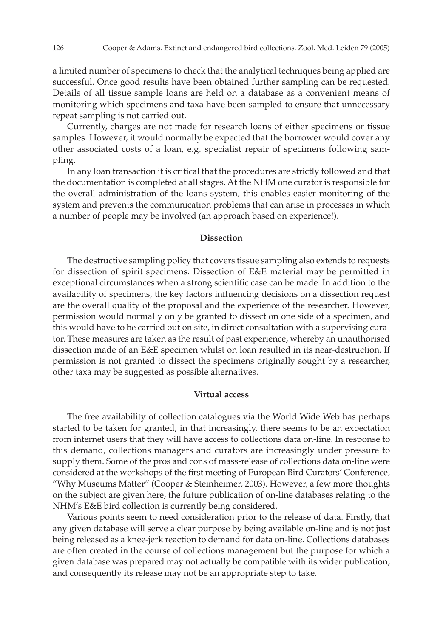a limited number of specimens to check that the analytical techniques being applied are successful. Once good results have been obtained further sampling can be requested. Details of all tissue sample loans are held on a database as a convenient means of monitoring which specimens and taxa have been sampled to ensure that unnecessary repeat sampling is not carried out.

Currently, charges are not made for research loans of either specimens or tissue samples. However, it would normally be expected that the borrower would cover any other associated costs of a loan, e.g. specialist repair of specimens following sampling.

In any loan transaction it is critical that the procedures are strictly followed and that the documentation is completed at all stages. At the NHM one curator is responsible for the overall administration of the loans system, this enables easier monitoring of the system and prevents the communication problems that can arise in processes in which a number of people may be involved (an approach based on experience!).

### **Dissection**

The destructive sampling policy that covers tissue sampling also extends to requests for dissection of spirit specimens. Dissection of E&E material may be permitted in exceptional circumstances when a strong scientific case can be made. In addition to the availability of specimens, the key factors influencing decisions on a dissection request are the overall quality of the proposal and the experience of the researcher. However, permission would normally only be granted to dissect on one side of a specimen, and this would have to be carried out on site, in direct consultation with a supervising curator. These measures are taken as the result of past experience, whereby an unauthorised dissection made of an E&E specimen whilst on loan resulted in its near-destruction. If permission is not granted to dissect the specimens originally sought by a researcher, other taxa may be suggested as possible alternatives.

#### **Virtual access**

The free availability of collection catalogues via the World Wide Web has perhaps started to be taken for granted, in that increasingly, there seems to be an expectation from internet users that they will have access to collections data on-line. In response to this demand, collections managers and curators are increasingly under pressure to supply them. Some of the pros and cons of mass-release of collections data on-line were considered at the workshops of the first meeting of European Bird Curators' Conference, "Why Museums Matter" (Cooper & Steinheimer, 2003). However, a few more thoughts on the subject are given here, the future publication of on-line databases relating to the NHM's E&E bird collection is currently being considered.

Various points seem to need consideration prior to the release of data. Firstly, that any given database will serve a clear purpose by being available on-line and is not just being released as a knee-jerk reaction to demand for data on-line. Collections databases are often created in the course of collections management but the purpose for which a given database was prepared may not actually be compatible with its wider publication, and consequently its release may not be an appropriate step to take.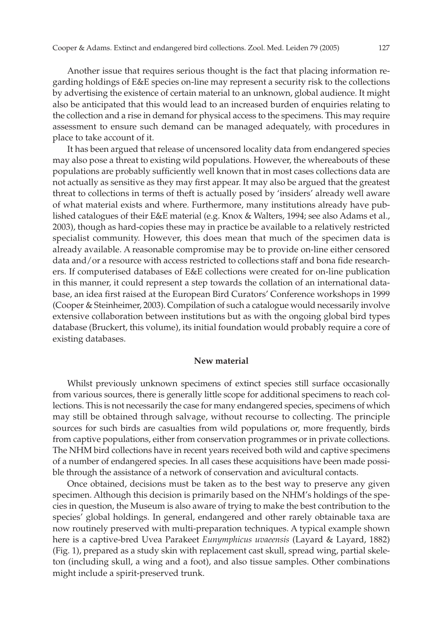Another issue that requires serious thought is the fact that placing information regarding holdings of E&E species on-line may represent a security risk to the collections by advertising the existence of certain material to an unknown, global audience. It might also be anticipated that this would lead to an increased burden of enquiries relating to the collection and a rise in demand for physical access to the specimens. This may require assessment to ensure such demand can be managed adequately, with procedures in place to take account of it.

It has been argued that release of uncensored locality data from endangered species may also pose a threat to existing wild populations. However, the whereabouts of these populations are probably sufficiently well known that in most cases collections data are not actually as sensitive as they may first appear. It may also be argued that the greatest threat to collections in terms of theft is actually posed by 'insiders' already well aware of what material exists and where. Furthermore, many institutions already have published catalogues of their E&E material (e.g. Knox & Walters, 1994; see also Adams et al., 2003), though as hard-copies these may in practice be available to a relatively restricted specialist community. However, this does mean that much of the specimen data is already available. A reasonable compromise may be to provide on-line either censored data and/or a resource with access restricted to collections staff and bona fide researchers. If computerised databases of E&E collections were created for on-line publication in this manner, it could represent a step towards the collation of an international database, an idea first raised at the European Bird Curators' Conference workshops in 1999 (Cooper & Steinheimer, 2003). Compilation of such a catalogue would necessarily involve extensive collaboration between institutions but as with the ongoing global bird types database (Bruckert, this volume), its initial foundation would probably require a core of existing databases.

#### **New material**

Whilst previously unknown specimens of extinct species still surface occasionally from various sources, there is generally little scope for additional specimens to reach collections. This is not necessarily the case for many endangered species, specimens of which may still be obtained through salvage, without recourse to collecting. The principle sources for such birds are casualties from wild populations or, more frequently, birds from captive populations, either from conservation programmes or in private collections. The NHM bird collections have in recent years received both wild and captive specimens of a number of endangered species. In all cases these acquisitions have been made possible through the assistance of a network of conservation and avicultural contacts.

Once obtained, decisions must be taken as to the best way to preserve any given specimen. Although this decision is primarily based on the NHM's holdings of the species in question, the Museum is also aware of trying to make the best contribution to the species' global holdings. In general, endangered and other rarely obtainable taxa are now routinely preserved with multi-preparation techniques. A typical example shown here is a captive-bred Uvea Parakeet *Eunymphicus uvaeensis* (Layard & Layard, 1882) (Fig. 1), prepared as a study skin with replacement cast skull, spread wing, partial skeleton (including skull, a wing and a foot), and also tissue samples. Other combinations might include a spirit-preserved trunk.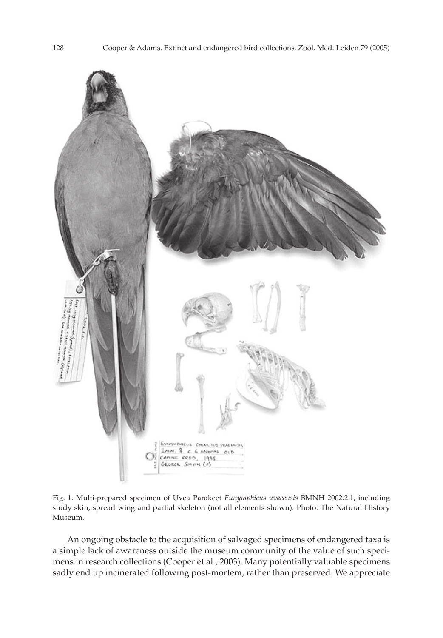

Fig. 1. Multi-prepared specimen of Uvea Parakeet *Eunymphicus uvaeensis* BMNH 2002.2.1, including study skin, spread wing and partial skeleton (not all elements shown). Photo: The Natural History Museum.

An ongoing obstacle to the acquisition of salvaged specimens of endangered taxa is a simple lack of awareness outside the museum community of the value of such specimens in research collections (Cooper et al., 2003). Many potentially valuable specimens sadly end up incinerated following post-mortem, rather than preserved. We appreciate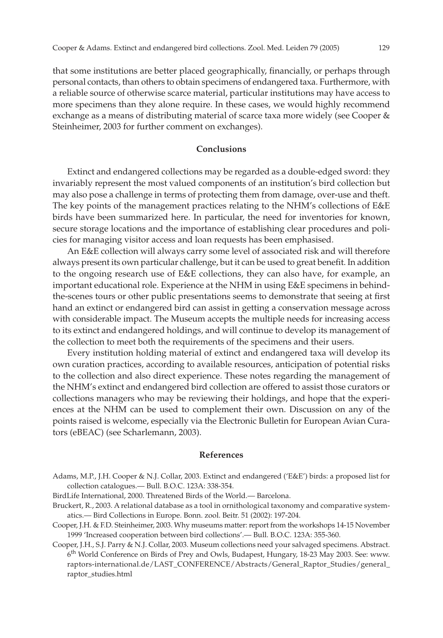that some institutions are better placed geographically, financially, or perhaps through personal contacts, than others to obtain specimens of endangered taxa. Furthermore, with a reliable source of otherwise scarce material, particular institutions may have access to more specimens than they alone require. In these cases, we would highly recommend exchange as a means of distributing material of scarce taxa more widely (see Cooper & Steinheimer, 2003 for further comment on exchanges).

## **Conclusions**

Extinct and endangered collections may be regarded as a double-edged sword: they invariably represent the most valued components of an institution's bird collection but may also pose a challenge in terms of protecting them from damage, over-use and theft. The key points of the management practices relating to the NHM's collections of E&E birds have been summarized here. In particular, the need for inventories for known, secure storage locations and the importance of establishing clear procedures and policies for managing visitor access and loan requests has been emphasised.

An E&E collection will always carry some level of associated risk and will therefore always present its own particular challenge, but it can be used to great benefit. In addition to the ongoing research use of E&E collections, they can also have, for example, an important educational role. Experience at the NHM in using E&E specimens in behindthe-scenes tours or other public presentations seems to demonstrate that seeing at first hand an extinct or endangered bird can assist in getting a conservation message across with considerable impact. The Museum accepts the multiple needs for increasing access to its extinct and endangered holdings, and will continue to develop its management of the collection to meet both the requirements of the specimens and their users.

Every institution holding material of extinct and endangered taxa will develop its own curation practices, according to available resources, anticipation of potential risks to the collection and also direct experience. These notes regarding the management of the NHM's extinct and endangered bird collection are offered to assist those curators or collections managers who may be reviewing their holdings, and hope that the experiences at the NHM can be used to complement their own. Discussion on any of the points raised is welcome, especially via the Electronic Bulletin for European Avian Curators (eBEAC) (see Scharlemann, 2003).

#### **References**

- Adams, M.P., J.H. Cooper & N.J. Collar, 2003. Extinct and endangered ('E&E') birds: a proposed list for collection catalogues.— Bull. B.O.C. 123A: 338-354.
- BirdLife International, 2000. Threatened Birds of the World.— Barcelona.
- Bruckert, R., 2003. A relational database as a tool in ornithological taxonomy and comparative systematics.— Bird Collections in Europe. Bonn. zool. Beitr. 51 (2002): 197-204.
- Cooper, J.H. & F.D. Steinheimer, 2003. Why museums matter: report from the workshops 14-15 November 1999 'Increased cooperation between bird collections'.— Bull. B.O.C. 123A: 355-360.
- Cooper, J.H., S.J. Parry & N.J. Collar, 2003. Museum collections need your salvaged specimens. Abstract. 6th World Conference on Birds of Prey and Owls, Budapest, Hungary, 18-23 May 2003. See: www. raptors-international.de/LAST\_CONFERENCE/Abstracts/General\_Raptor\_Studies/general\_ raptor\_studies.html